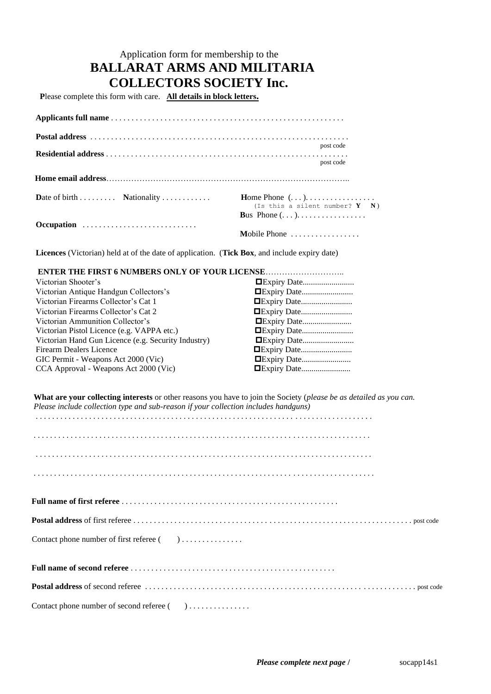## Application form for membership to the **BALLARAT ARMS AND MILITARIA COLLECTORS SOCIETY Inc.**

 **P**lease complete this form with care. **All details in block letters.**

|            | post code                                                               |
|------------|-------------------------------------------------------------------------|
|            | post code                                                               |
|            |                                                                         |
|            | Home Phone $(\ldots)$<br>(Is this a silent number? $Y \t N$ )           |
|            | <b>Bus</b> Phone $(\ldots)$ , $\ldots$ , $\ldots$ , $\ldots$ , $\ldots$ |
| Occupation |                                                                         |
|            | Mobile Phone                                                            |

 **Licences** (Victorian) held at of the date of application. (**Tick Box**, and include expiry date)

| <b>ENTER THE FIRST 6 NUMBERS ONLY OF YOUR LICENSE </b> |                    |
|--------------------------------------------------------|--------------------|
| Victorian Shooter's                                    |                    |
| Victorian Antique Handgun Collectors's                 |                    |
| Victorian Firearms Collector's Cat 1                   | <b>Expiry Date</b> |
| Victorian Firearms Collector's Cat 2                   | <b>Expiry Date</b> |
| Victorian Ammunition Collector's                       | <b>Expiry Date</b> |
| Victorian Pistol Licence (e.g. VAPPA etc.)             | <b>Expiry Date</b> |
| Victorian Hand Gun Licence (e.g. Security Industry)    | <b>Expiry Date</b> |
| Firearm Dealers Licence                                | <b>Expiry Date</b> |
| GIC Permit - Weapons Act 2000 (Vic)                    |                    |
| CCA Approval - Weapons Act 2000 (Vic)                  | <b>Expiry Date</b> |

 **What are your collecting interests** or other reasons you have to join the Society (*please be as detailed as you can. Please include collection type and sub-reason if your collection includes handguns)*

| Contact phone number of second referee () |
|-------------------------------------------|